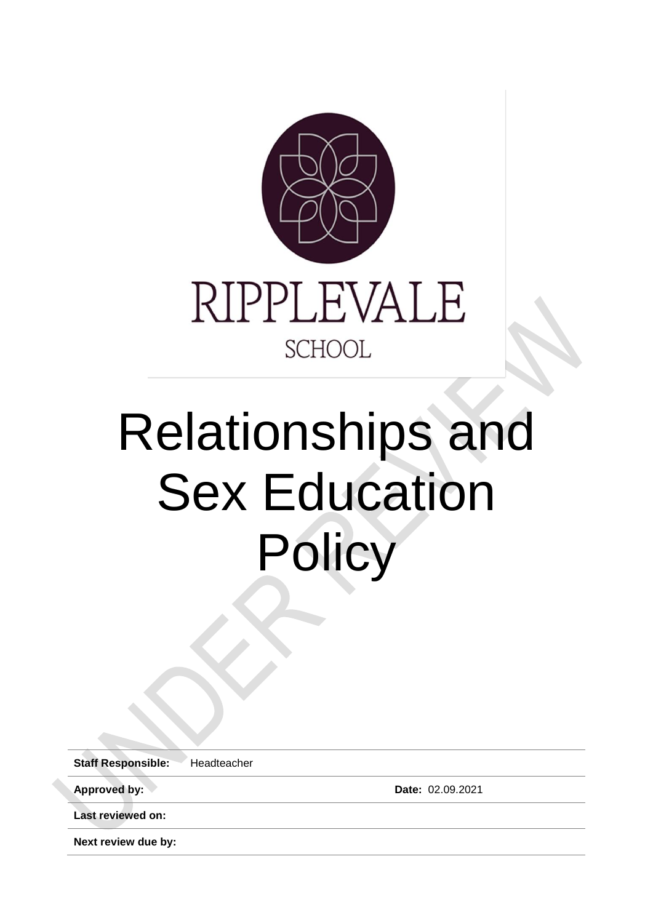

# Relationships and Sex Education **Policy**

**Staff Responsible:** Headteacher

**Approved by: Date:** 02.09.2021

**Last reviewed on:**

**Next review due by:**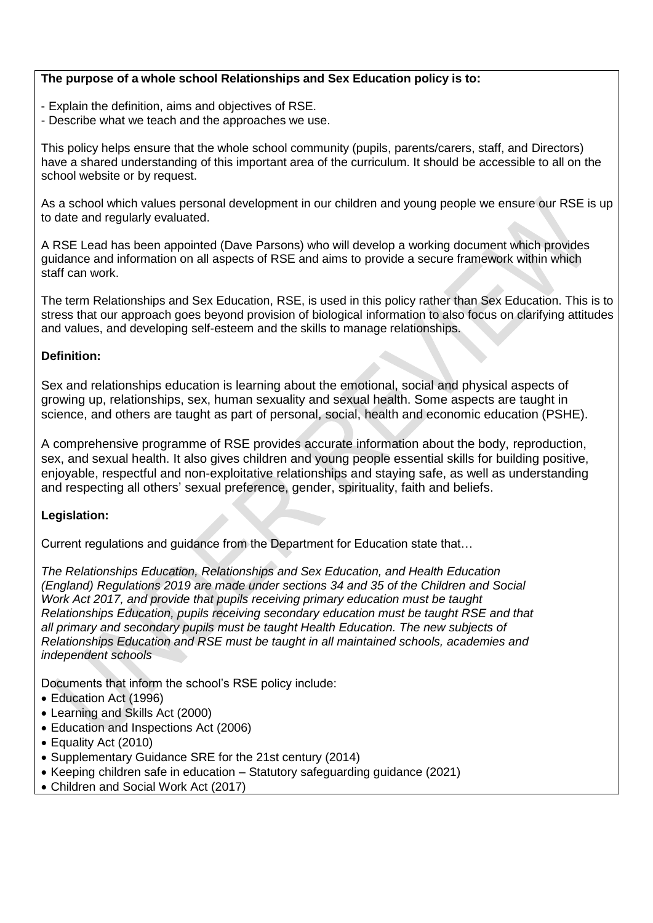#### **The purpose of a whole school Relationships and Sex Education policy is to:**

- Explain the definition, aims and objectives of RSE.
- Describe what we teach and the approaches we use.

This policy helps ensure that the whole school community (pupils, parents/carers, staff, and Directors) have a shared understanding of this important area of the curriculum. It should be accessible to all on the school website or by request.

As a school which values personal development in our children and young people we ensure our RSE is up to date and regularly evaluated.

A RSE Lead has been appointed (Dave Parsons) who will develop a working document which provides guidance and information on all aspects of RSE and aims to provide a secure framework within which staff can work.

The term Relationships and Sex Education, RSE, is used in this policy rather than Sex Education. This is to stress that our approach goes beyond provision of biological information to also focus on clarifying attitudes and values, and developing self-esteem and the skills to manage relationships.

#### **Definition:**

Sex and relationships education is learning about the emotional, social and physical aspects of growing up, relationships, sex, human sexuality and sexual health. Some aspects are taught in science, and others are taught as part of personal, social, health and economic education (PSHE).

A comprehensive programme of RSE provides accurate information about the body, reproduction, sex, and sexual health. It also gives children and young people essential skills for building positive, enjoyable, respectful and non-exploitative relationships and staying safe, as well as understanding and respecting all others' sexual preference, gender, spirituality, faith and beliefs.

#### **Legislation:**

Current regulations and guidance from the Department for Education state that…

*The Relationships Education, Relationships and Sex Education, and Health Education (England) Regulations 2019 are made under sections 34 and 35 of the Children and Social Work Act 2017, and provide that pupils receiving primary education must be taught Relationships Education, pupils receiving secondary education must be taught RSE and that all primary and secondary pupils must be taught Health Education. The new subjects of Relationships Education and RSE must be taught in all maintained schools, academies and independent schools*

Documents that inform the school's RSE policy include:

- Education Act (1996)
- Learning and Skills Act (2000)
- Education and Inspections Act (2006)
- Equality Act (2010)
- Supplementary Guidance SRE for the 21st century (2014)
- Keeping children safe in education Statutory safeguarding guidance (2021)
- Children and Social Work Act (2017)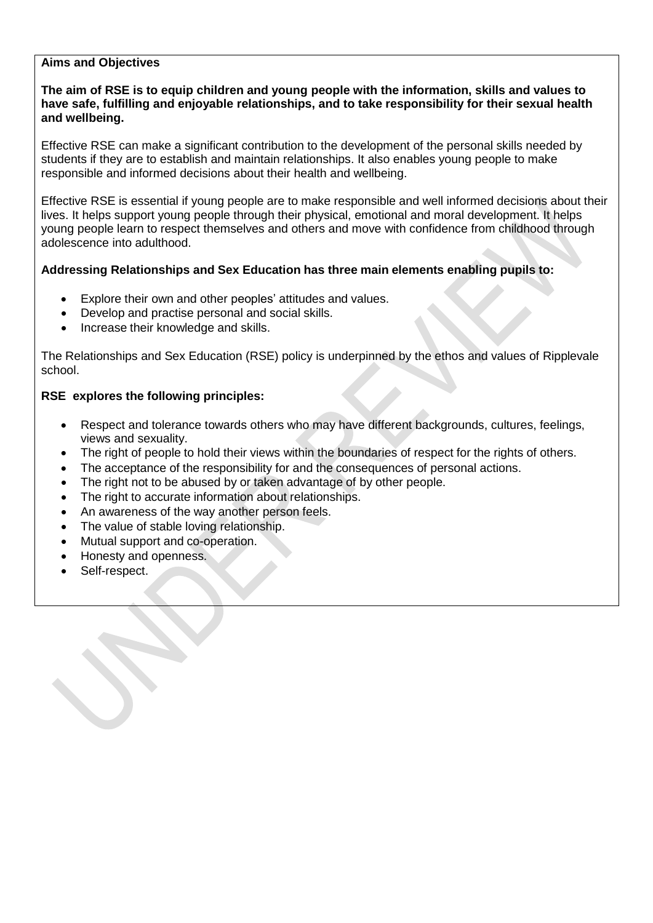#### **Aims and Objectives**

#### **The aim of RSE is to equip children and young people with the information, skills and values to have safe, fulfilling and enjoyable relationships, and to take responsibility for their sexual health and wellbeing.**

Effective RSE can make a significant contribution to the development of the personal skills needed by students if they are to establish and maintain relationships. It also enables young people to make responsible and informed decisions about their health and wellbeing.

Effective RSE is essential if young people are to make responsible and well informed decisions about their lives. It helps support young people through their physical, emotional and moral development. It helps young people learn to respect themselves and others and move with confidence from childhood through adolescence into adulthood.

#### **Addressing Relationships and Sex Education has three main elements enabling pupils to:**

- Explore their own and other peoples' attitudes and values.
- Develop and practise personal and social skills.
- Increase their knowledge and skills.

The Relationships and Sex Education (RSE) policy is underpinned by the ethos and values of Ripplevale school.

#### **RSE explores the following principles:**

- Respect and tolerance towards others who may have different backgrounds, cultures, feelings, views and sexuality.
- The right of people to hold their views within the boundaries of respect for the rights of others.
- The acceptance of the responsibility for and the consequences of personal actions.
- The right not to be abused by or taken advantage of by other people.
- The right to accurate information about relationships.
- An awareness of the way another person feels.
- The value of stable loving relationship.
- Mutual support and co-operation.
- Honesty and openness.
- Self-respect.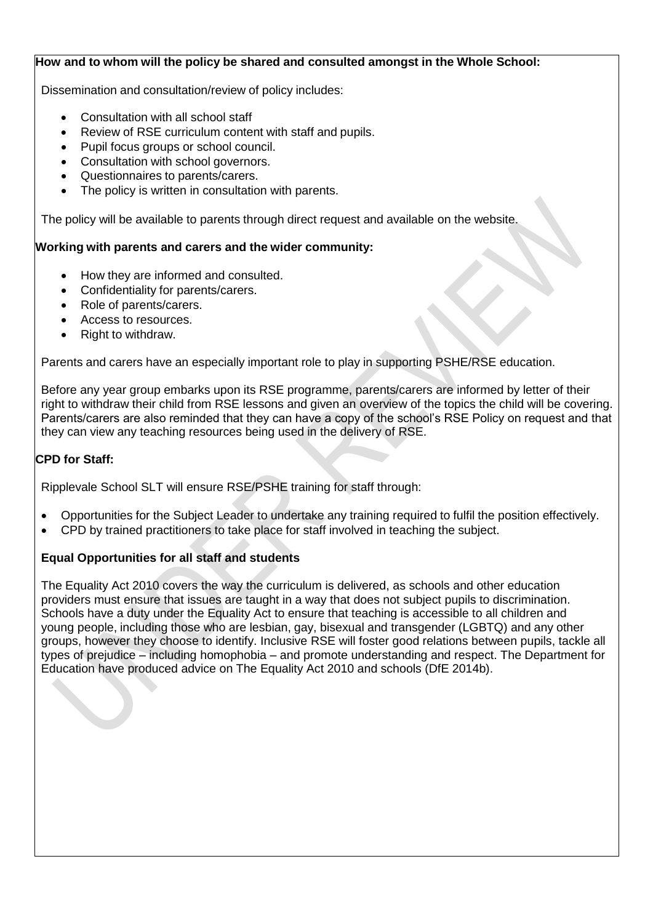#### **How and to whom will the policy be shared and consulted amongst in the Whole School:**

Dissemination and consultation/review of policy includes:

- Consultation with all school staff
- Review of RSE curriculum content with staff and pupils.
- Pupil focus groups or school council.
- Consultation with school governors.
- Questionnaires to parents/carers.
- The policy is written in consultation with parents.

The policy will be available to parents through direct request and available on the website.

#### **Working with parents and carers and the wider community:**

- How they are informed and consulted.
- Confidentiality for parents/carers.
- Role of parents/carers.
- Access to resources.
- Right to withdraw.

Parents and carers have an especially important role to play in supporting PSHE/RSE education.

Before any year group embarks upon its RSE programme, parents/carers are informed by letter of their right to withdraw their child from RSE lessons and given an overview of the topics the child will be covering. Parents/carers are also reminded that they can have a copy of the school's RSE Policy on request and that they can view any teaching resources being used in the delivery of RSE.

#### **CPD for Staff:**

Ripplevale School SLT will ensure RSE/PSHE training for staff through:

- Opportunities for the Subject Leader to undertake any training required to fulfil the position effectively.
- CPD by trained practitioners to take place for staff involved in teaching the subject.

#### **Equal Opportunities for all staff and students**

The Equality Act 2010 covers the way the curriculum is delivered, as schools and other education providers must ensure that issues are taught in a way that does not subject pupils to discrimination. Schools have a duty under the Equality Act to ensure that teaching is accessible to all children and young people, including those who are lesbian, gay, bisexual and transgender (LGBTQ) and any other groups, however they choose to identify. Inclusive RSE will foster good relations between pupils, tackle all types of prejudice – including homophobia – and promote understanding and respect. The Department for Education have produced advice on The Equality Act 2010 and schools (DfE 2014b).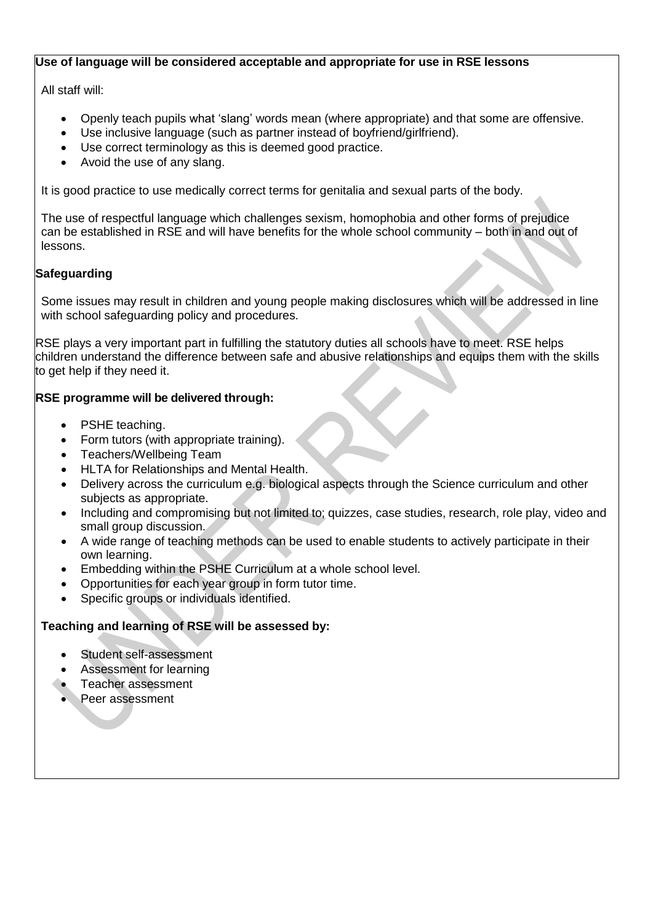#### **Use of language will be considered acceptable and appropriate for use in RSE lessons**

All staff will:

- Openly teach pupils what 'slang' words mean (where appropriate) and that some are offensive.
- Use inclusive language (such as partner instead of boyfriend/girlfriend).
- Use correct terminology as this is deemed good practice.
- Avoid the use of any slang.

It is good practice to use medically correct terms for genitalia and sexual parts of the body.

The use of respectful language which challenges sexism, homophobia and other forms of prejudice can be established in RSE and will have benefits for the whole school community – both in and out of lessons.

#### **Safeguarding**

Some issues may result in children and young people making disclosures which will be addressed in line with school safeguarding policy and procedures.

RSE plays a very important part in fulfilling the statutory duties all schools have to meet. RSE helps children understand the difference between safe and abusive relationships and equips them with the skills to get help if they need it.

#### **RSE programme will be delivered through:**

- PSHE teaching.
- Form tutors (with appropriate training).
- Teachers/Wellbeing Team
- HLTA for Relationships and Mental Health.
- Delivery across the curriculum e.g. biological aspects through the Science curriculum and other subjects as appropriate.
- Including and compromising but not limited to; quizzes, case studies, research, role play, video and small group discussion.
- A wide range of teaching methods can be used to enable students to actively participate in their own learning.
- Embedding within the PSHE Curriculum at a whole school level.
- Opportunities for each year group in form tutor time.
- Specific groups or individuals identified.

#### **Teaching and learning of RSE will be assessed by:**

- Student self-assessment
- Assessment for learning
- Teacher assessment
- Peer assessment